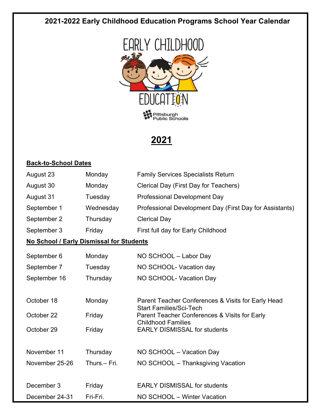### **2021-2022 Early Childhood Education Programs School Year Calendar**



## **2021**

#### **Back-to-School Dates**

| August 23                                | Monday       | <b>Family Services Specialists Return</b>                                            |  |
|------------------------------------------|--------------|--------------------------------------------------------------------------------------|--|
| August 30                                | Monday       | Clerical Day (First Day for Teachers)                                                |  |
| August 31                                | Tuesday      | <b>Professional Development Day</b>                                                  |  |
| September 1                              | Wednesday    | Professional Development Day (First Day for Assistants)                              |  |
| September 2                              | Thursday     | <b>Clerical Day</b>                                                                  |  |
| September 3                              | Friday       | First full day for Early Childhood                                                   |  |
| No School / Early Dismissal for Students |              |                                                                                      |  |
| September 6                              | Monday       | NO SCHOOL - Labor Day                                                                |  |
| September 7                              | Tuesday      | NO SCHOOL- Vacation day                                                              |  |
| September 16                             | Thursday     | NO SCHOOL- Vacation Day                                                              |  |
|                                          |              |                                                                                      |  |
| October 18                               | Monday       | Parent Teacher Conferences & Visits for Early Head<br><b>Start Families/Sci-Tech</b> |  |
| October 22                               | Friday       | Parent Teacher Conferences & Visits for Early                                        |  |
| October 29                               | Friday       | <b>Childhood Families</b><br><b>EARLY DISMISSAL for students</b>                     |  |
|                                          |              |                                                                                      |  |
| November 11                              | Thursday     | NO SCHOOL - Vacation Day                                                             |  |
| November 25-26                           | Thurs.- Fri. | NO SCHOOL - Thanksgiving Vacation                                                    |  |
| December 3                               | Friday       | <b>EARLY DISMISSAL for students</b>                                                  |  |
| December 24-31                           | Fri-Fri.     | NO SCHOOL - Winter Vacation                                                          |  |